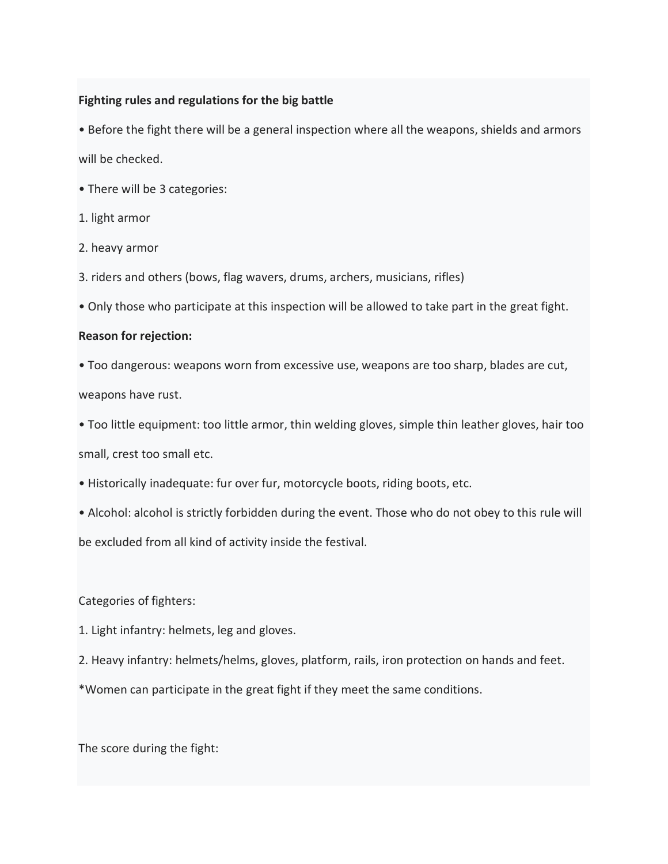# **Fighting rules and regulations for the big battle**

• Before the fight there will be a general inspection where all the weapons, shields and armors will be checked.

- There will be 3 categories:
- 1. light armor
- 2. heavy armor
- 3. riders and others (bows, flag wavers, drums, archers, musicians, rifles)
- Only those who participate at this inspection will be allowed to take part in the great fight.

# **Reason for rejection:**

- Too dangerous: weapons worn from excessive use, weapons are too sharp, blades are cut,
- weapons have rust.
- Too little equipment: too little armor, thin welding gloves, simple thin leather gloves, hair too small, crest too small etc.
- Historically inadequate: fur over fur, motorcycle boots, riding boots, etc.
- Alcohol: alcohol is strictly forbidden during the event. Those who do not obey to this rule will be excluded from all kind of activity inside the festival.

# Categories of fighters:

- 1. Light infantry: helmets, leg and gloves.
- 2. Heavy infantry: helmets/helms, gloves, platform, rails, iron protection on hands and feet.
- \*Women can participate in the great fight if they meet the same conditions.

The score during the fight: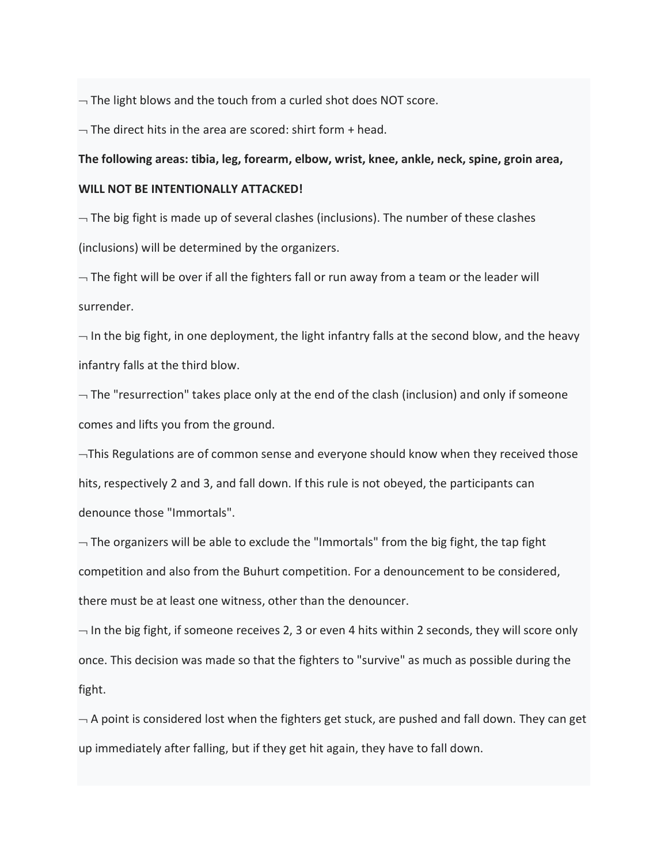$\rightarrow$  The light blows and the touch from a curled shot does NOT score.

 $\rightarrow$  The direct hits in the area are scored: shirt form + head.

#### **The following areas: tibia, leg, forearm, elbow, wrist, knee, ankle, neck, spine, groin area,**

#### **WILL NOT BE INTENTIONALLY ATTACKED!**

 $\neg$  The big fight is made up of several clashes (inclusions). The number of these clashes (inclusions) will be determined by the organizers.

 $\neg$  The fight will be over if all the fighters fall or run away from a team or the leader will surrender.

 $\neg$  In the big fight, in one deployment, the light infantry falls at the second blow, and the heavy infantry falls at the third blow.

 $\neg$  The "resurrection" takes place only at the end of the clash (inclusion) and only if someone comes and lifts you from the ground.

 $\neg$ This Regulations are of common sense and everyone should know when they received those hits, respectively 2 and 3, and fall down. If this rule is not obeyed, the participants can denounce those "Immortals".

 $\neg$  The organizers will be able to exclude the "Immortals" from the big fight, the tap fight competition and also from the Buhurt competition. For a denouncement to be considered, there must be at least one witness, other than the denouncer.

 $\neg$  In the big fight, if someone receives 2, 3 or even 4 hits within 2 seconds, they will score only once. This decision was made so that the fighters to "survive" as much as possible during the fight.

 $\neg$  A point is considered lost when the fighters get stuck, are pushed and fall down. They can get up immediately after falling, but if they get hit again, they have to fall down.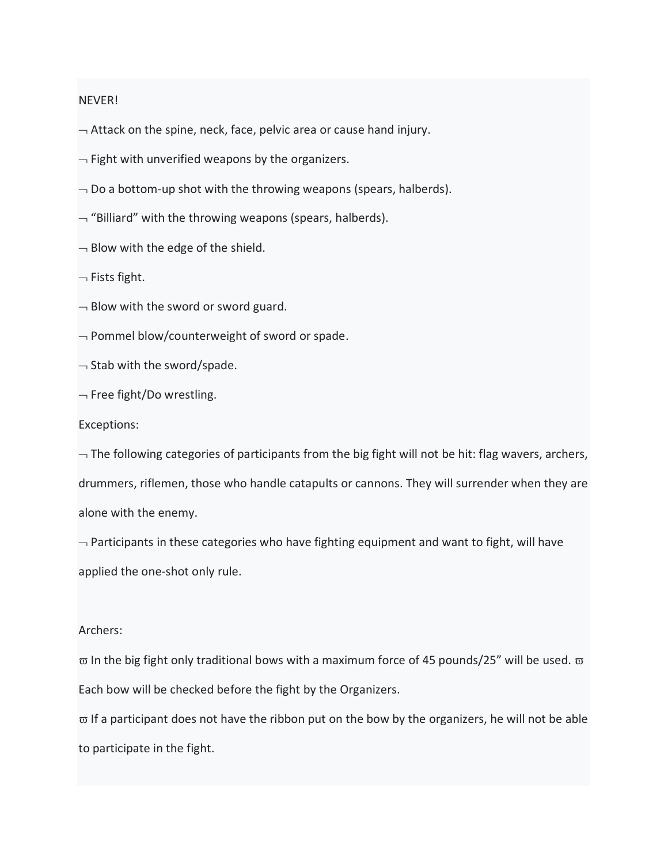#### NEVER!

 $\rightarrow$  Attack on the spine, neck, face, pelvic area or cause hand injury.

 $\neg$  Fight with unverified weapons by the organizers.

- $\neg$  Do a bottom-up shot with the throwing weapons (spears, halberds).
- $-$  "Billiard" with the throwing weapons (spears, halberds).
- $\neg$  Blow with the edge of the shield.

 $\neg$  Fists fight.

- $\neg$  Blow with the sword or sword guard.
- $\neg$  Pommel blow/counterweight of sword or spade.
- $\lnot$  Stab with the sword/spade.
- $\neg$  Free fight/Do wrestling.

#### Exceptions:

 $\neg$  The following categories of participants from the big fight will not be hit: flag wavers, archers, drummers, riflemen, those who handle catapults or cannons. They will surrender when they are alone with the enemy.

 $\neg$  Participants in these categories who have fighting equipment and want to fight, will have applied the one-shot only rule.

### Archers:

 $\overline{\omega}$  In the big fight only traditional bows with a maximum force of 45 pounds/25" will be used.  $\overline{\omega}$ Each bow will be checked before the fight by the Organizers.

 $\varpi$  If a participant does not have the ribbon put on the bow by the organizers, he will not be able to participate in the fight.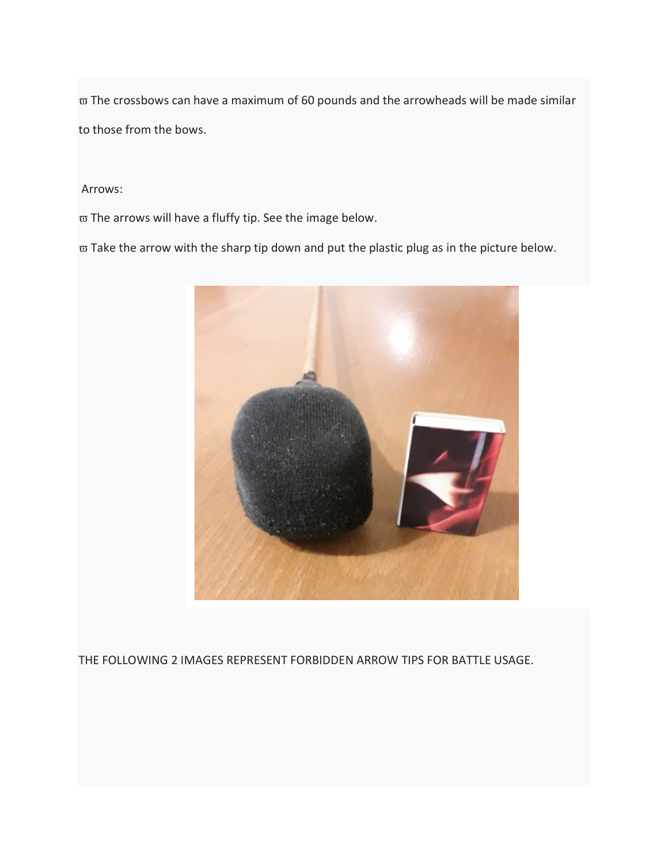$\overline{\omega}$  The crossbows can have a maximum of 60 pounds and the arrowheads will be made similar to those from the bows.

Arrows:

ϖ The arrows will have a fluffy tip. See the image below.

 $\overline{\omega}$  Take the arrow with the sharp tip down and put the plastic plug as in the picture below.



THE FOLLOWING 2 IMAGES REPRESENT FORBIDDEN ARROW TIPS FOR BATTLE USAGE.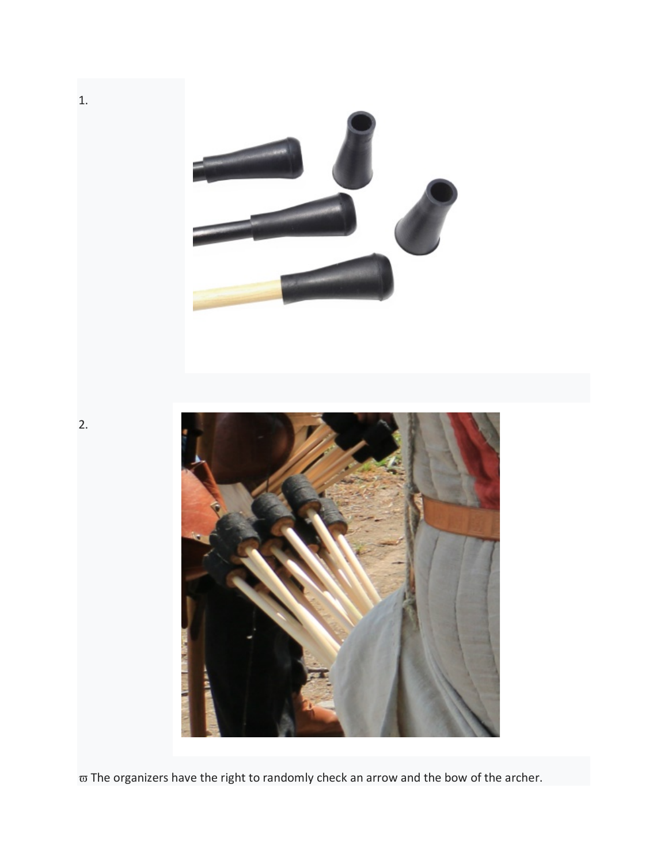

 $\overline{\omega}$  The organizers have the right to randomly check an arrow and the bow of the archer.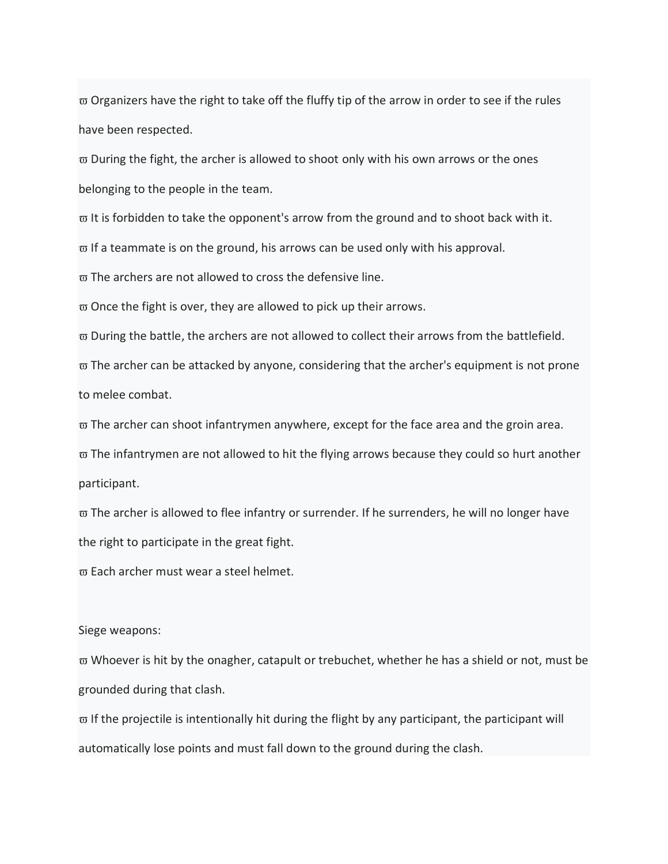$\varpi$  Organizers have the right to take off the fluffy tip of the arrow in order to see if the rules have been respected.

 $\varpi$  During the fight, the archer is allowed to shoot only with his own arrows or the ones belonging to the people in the team.

 $\varpi$  It is forbidden to take the opponent's arrow from the ground and to shoot back with it.

 $\varpi$  If a teammate is on the ground, his arrows can be used only with his approval.

 $\varpi$  The archers are not allowed to cross the defensive line.

 $\varpi$  Once the fight is over, they are allowed to pick up their arrows.

 $\varpi$  During the battle, the archers are not allowed to collect their arrows from the battlefield.

 $\varpi$  The archer can be attacked by anyone, considering that the archer's equipment is not prone to melee combat.

 $\varpi$  The archer can shoot infantrymen anywhere, except for the face area and the groin area.

 $\varpi$  The infantrymen are not allowed to hit the flying arrows because they could so hurt another participant.

 $\varpi$  The archer is allowed to flee infantry or surrender. If he surrenders, he will no longer have the right to participate in the great fight.

 $\varpi$  Each archer must wear a steel helmet.

Siege weapons:

 $\varpi$  Whoever is hit by the onagher, catapult or trebuchet, whether he has a shield or not, must be grounded during that clash.

 $\varpi$  If the projectile is intentionally hit during the flight by any participant, the participant will automatically lose points and must fall down to the ground during the clash.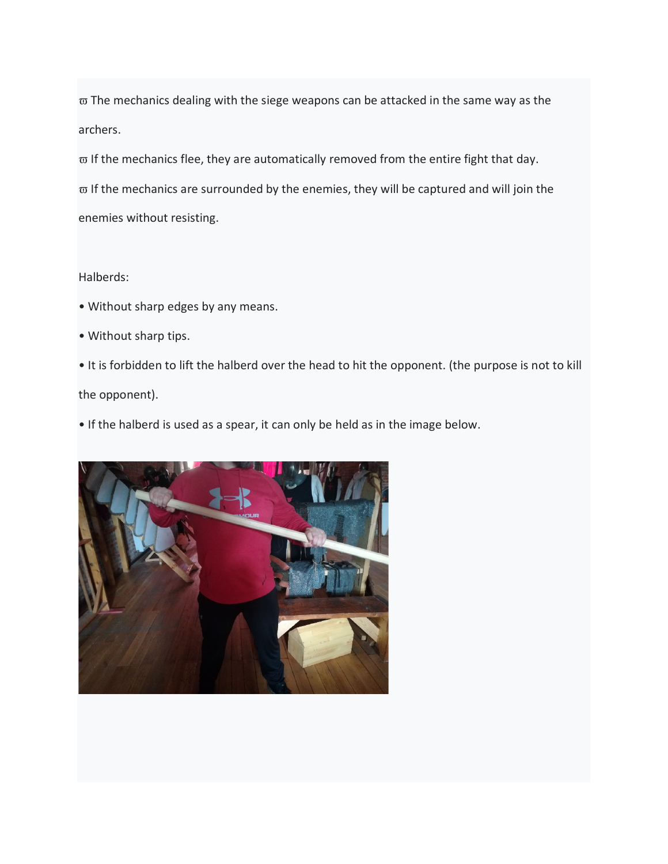$\varpi$  The mechanics dealing with the siege weapons can be attacked in the same way as the archers.

 $\varpi$  If the mechanics flee, they are automatically removed from the entire fight that day.  $\varpi$  If the mechanics are surrounded by the enemies, they will be captured and will join the enemies without resisting.

# Halberds:

- Without sharp edges by any means.
- Without sharp tips.
- It is forbidden to lift the halberd over the head to hit the opponent. (the purpose is not to kill the opponent).

• If the halberd is used as a spear, it can only be held as in the image below.

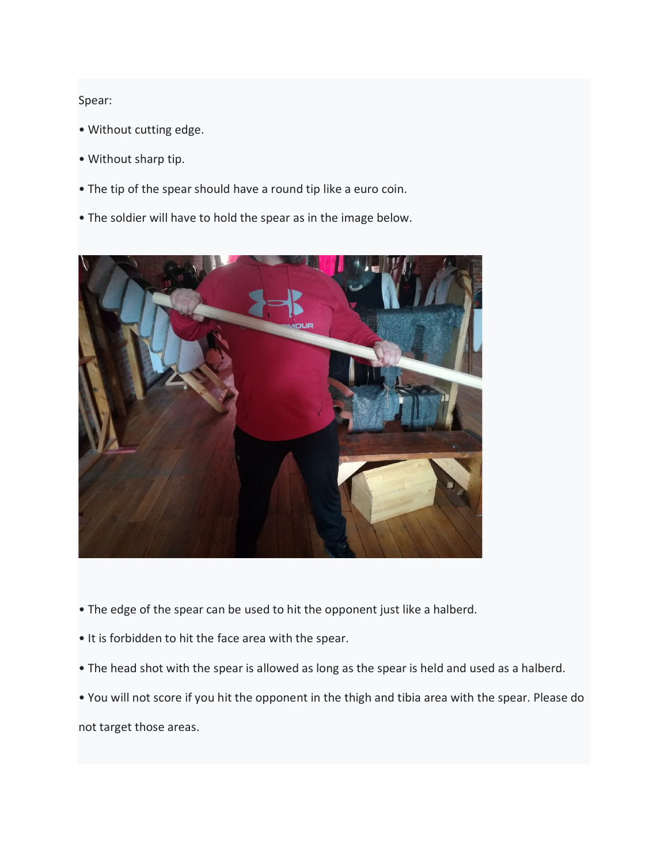## Spear:

- Without cutting edge.
- Without sharp tip.
- The tip of the spear should have a round tip like a euro coin.
- The soldier will have to hold the spear as in the image below.



- The edge of the spear can be used to hit the opponent just like a halberd.
- It is forbidden to hit the face area with the spear.
- The head shot with the spear is allowed as long as the spear is held and used as a halberd.
- You will not score if you hit the opponent in the thigh and tibia area with the spear. Please do not target those areas.